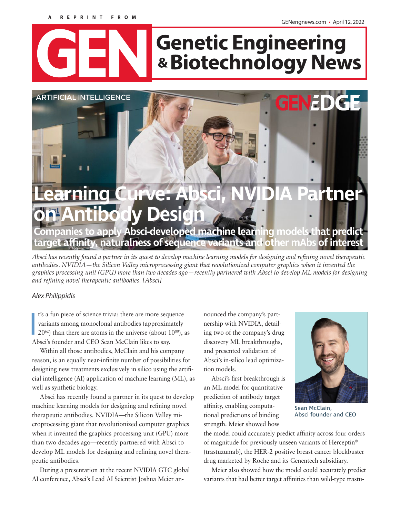#### **A REPRINT FROM**

GENengnews.com • April 12, 2022

# **Genetic Engineering** & Biotechnology News

# **Curve: Absci, NVIDIA Partner body Design Companies to apply Absci-developed machine learning models that predict target affinity, naturalness of sequence variants and other mAbs of interest ARTIFICIAL INTELLIGENCE**

*Absci has recently found a partner in its quest to develop machine learning models for designing and refining novel therapeutic antibodies. NVIDIA—the Silicon Valley microprocessing giant that revolutionized computer graphics when it invented the graphics processing unit (GPU) more than two decades ago—recently partnered with Absci to develop ML models for designing and refining novel therapeutic antibodies. [Absci]*

# *Alex Philippidis*

t's a fun piece of science trivia: there are more sequentiants among monoclonal antibodies (approxim 20<sup>62</sup>) than there are atoms in the universe (about 1 Absci's founder and CEO Sean McClain likes to say. t's a fun piece of science trivia: there are more sequence variants among monoclonal antibodies (approximately  $20^{62}$ ) than there are atoms in the universe (about  $10^{80}$ ), as

Within all those antibodies, McClain and his company reason, is an equally near-infinite number of possibilities for designing new treatments exclusively in silico using the artificial intelligence (AI) application of machine learning (ML), as well as synthetic biology.

Absci has recently found a partner in its quest to develop machine learning models for designing and refining novel therapeutic antibodies. NVIDIA—the Silicon Valley microprocessing giant that revolutionized computer graphics when it invented the graphics processing unit (GPU) more than two decades ago—recently partnered with Absci to develop ML models for designing and refining novel therapeutic antibodies.

During a presentation at the recent NVIDIA GTC global AI conference, Absci's Lead AI Scientist Joshua Meier announced the company's partnership with NVIDIA, detailing two of the company's drug discovery ML breakthroughs, and presented validation of Absci's in-silico lead optimization models.

Absci's first breakthrough is an ML model for quantitative prediction of antibody target affinity, enabling computational predictions of binding strength. Meier showed how



Sean McClain, Absci founder and CEO

the model could accurately predict affinity across four orders of magnitude for previously unseen variants of Herceptin® (trastuzumab), the HER-2 positive breast cancer blockbuster drug marketed by Roche and its Genentech subsidiary.

Meier also showed how the model could accurately predict variants that had better target affinities than wild-type trastu-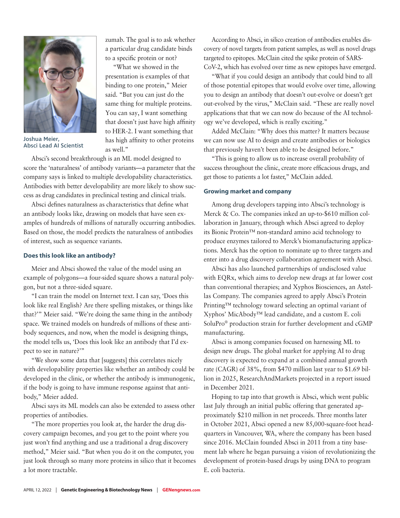

Joshua Meier, Absci Lead AI Scientist

zumab. The goal is to ask whether a particular drug candidate binds to a specific protein or not?

"What we showed in the presentation is examples of that binding to one protein," Meier said. "But you can just do the same thing for multiple proteins. You can say, I want something that doesn't just have high affinity to HER-2. I want something that has high affinity to other proteins as well."

Absci's second breakthrough is an ML model designed to score the 'naturalness' of antibody variants—a parameter that the company says is linked to multiple developability characteristics. Antibodies with better developability are more likely to show success as drug candidates in preclinical testing and clinical trials.

Absci defines naturalness as characteristics that define what an antibody looks like, drawing on models that have seen examples of hundreds of millions of naturally occurring antibodies. Based on those, the model predicts the naturalness of antibodies of interest, such as sequence variants.

### **Does this look like an antibody?**

Meier and Absci showed the value of the model using an example of polygons—a four-sided square shows a natural polygon, but not a three-sided square.

"I can train the model on Internet text. I can say, 'Does this look like real English? Are there spelling mistakes, or things like that?'" Meier said. "We're doing the same thing in the antibody space. We trained models on hundreds of millions of these antibody sequences, and now, when the model is designing things, the model tells us, 'Does this look like an antibody that I'd expect to see in nature?'"

"We show some data that [suggests] this correlates nicely with developability properties like whether an antibody could be developed in the clinic, or whether the antibody is immunogenic, if the body is going to have immune response against that antibody," Meier added.

Absci says its ML models can also be extended to assess other properties of antibodies.

"The more properties you look at, the harder the drug discovery campaign becomes, and you get to the point where you just won't find anything and use a traditional a drug discovery method," Meier said. "But when you do it on the computer, you just look through so many more proteins in silico that it becomes a lot more tractable.

According to Absci, in silico creation of antibodies enables discovery of novel targets from patient samples, as well as novel drugs targeted to epitopes. McClain cited the spike protein of SARS-CoV-2, which has evolved over time as new epitopes have emerged.

"What if you could design an antibody that could bind to all of those potential epitopes that would evolve over time, allowing you to design an antibody that doesn't out-evolve or doesn't get out-evolved by the virus," McClain said. "These are really novel applications that that we can now do because of the AI technology we've developed, which is really exciting."

Added McClain: "Why does this matter? It matters because we can now use AI to design and create antibodies or biologics that previously haven't been able to be designed before."

"This is going to allow us to increase overall probability of success throughout the clinic, create more efficacious drugs, and get those to patients a lot faster," McClain added.

#### **Growing market and company**

Among drug developers tapping into Absci's technology is Merck & Co. The companies inked an up-to-\$610 million collaboration in January, through which Absci agreed to deploy its Bionic Protein™ non-standard amino acid technology to produce enzymes tailored to Merck's biomanufacturing applications. Merck has the option to nominate up to three targets and enter into a drug discovery collaboration agreement with Absci.

Absci has also launched partnerships of undisclosed value with EQRx, which aims to develop new drugs at far lower cost than conventional therapies; and Xyphos Biosciences, an Astellas Company. The companies agreed to apply Absci's Protein Printing™ technology toward selecting an optimal variant of Xyphos' MicAbody™ lead candidate, and a custom E. coli SoluPro® production strain for further development and cGMP manufacturing.

Absci is among companies focused on harnessing ML to design new drugs. The global market for applying AI to drug discovery is expected to expand at a combined annual growth rate (CAGR) of 38%, from \$470 million last year to \$1.69 billion in 2025, ResearchAndMarkets projected in a report issued in December 2021.

Hoping to tap into that growth is Absci, which went public last July through an initial public offering that generated approximately \$210 million in net proceeds. Three months later in October 2021, Absci opened a new 85,000-square-foot headquarters in Vancouver, WA, where the company has been based since 2016. McClain founded Absci in 2011 from a tiny basement lab where he began pursuing a vision of revolutionizing the development of protein-based drugs by using DNA to program E. coli bacteria.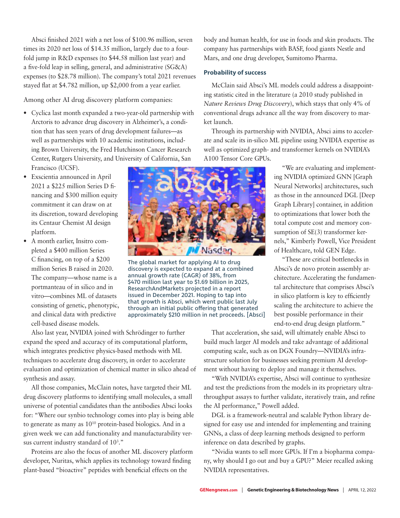Absci finished 2021 with a net loss of \$100.96 million, seven times its 2020 net loss of \$14.35 million, largely due to a fourfold jump in R&D expenses (to \$44.58 million last year) and a five-fold leap in selling, general, and administrative (SG&A) expenses (to \$28.78 million). The company's total 2021 revenues stayed flat at \$4.782 million, up \$2,000 from a year earlier.

Among other AI drug discovery platform companies:

- Cyclica last month expanded a two-year-old partnership with Arctoris to advance drug discovery in Alzheimer's, a condition that has seen years of drug development failures—as well as partnerships with 10 academic institutions, including Brown University, the Fred Hutchinson Cancer Research Center, Rutgers University, and University of California, San Francisco (UCSF).
- Exscientia announced in April 2021 a \$225 million Series D financing and \$300 million equity commitment it can draw on at its discretion, toward developing its Centaur Chemist AI design platform.
- A month earlier, Insitro completed a \$400 million Series C financing, on top of a \$200 million Series B raised in 2020. The company—whose name is a portmanteau of in silico and in vitro—combines ML of datasets consisting of genetic, phenotypic, and clinical data with predictive cell-based disease models.



The global market for applying AI to drug discovery is expected to expand at a combined annual growth rate (CAGR) of 38%, from \$470 million last year to \$1.69 billion in 2025, ResearchAndMarkets projected in a report issued in December 2021. Hoping to tap into that growth is Absci, which went public last July through an initial public offering that generated approximately \$210 million in net proceeds. [Absci]

Also last year, NVIDIA joined with Schrödinger to further expand the speed and accuracy of its computational platform, which integrates predictive physics-based methods with ML techniques to accelerate drug discovery, in order to accelerate evaluation and optimization of chemical matter in silico ahead of synthesis and assay.

All those companies, McClain notes, have targeted their ML drug discovery platforms to identifying small molecules, a small universe of potential candidates than the antibodies Absci looks for: "Where our synbio technology comes into play is being able to generate as many as  $10^{10}$  protein-based biologics. And in a given week we can add functionality and manufacturability versus current industry standard of 10<sup>3</sup>."

Proteins are also the focus of another ML discovery platform developer, Nuritas, which applies its technology toward finding plant-based "bioactive" peptides with beneficial effects on the

body and human health, for use in foods and skin products. The company has partnerships with BASF, food giants Nestle and Mars, and one drug developer, Sumitomo Pharma.

# **Probability of success**

McClain said Absci's ML models could address a disappointing statistic cited in the literature (a 2010 study published in *Nature Reviews Drug Discovery*), which stays that only 4% of conventional drugs advance all the way from discovery to market launch.

Through its partnership with NVIDIA, Absci aims to accelerate and scale its in-silico ML pipeline using NVIDIA expertise as well as optimized graph- and transformer kernels on NVIDIA's A100 Tensor Core GPUs.

> "We are evaluating and implementing NVIDIA optimized GNN [Graph Neural Networks] architectures, such as those in the announced DGL [Deep Graph Library] container, in addition to optimizations that lower both the total compute cost and memory consumption of SE(3) transformer kernels," Kimberly Powell, Vice President of Healthcare, told GEN Edge.

> "These are critical bottlenecks in Absci's de novo protein assembly architecture. Accelerating the fundamental architecture that comprises Absci's in silico platform is key to efficiently scaling the architecture to achieve the best possible performance in their end-to-end drug design platform."

That acceleration, she said, will ultimately enable Absci to build much larger AI models and take advantage of additional computing scale, such as on DGX Foundry—NVIDIA's infrastructure solution for businesses seeking premium AI development without having to deploy and manage it themselves.

"With NVIDIA's expertise, Absci will continue to synthesize and test the predictions from the models in its proprietary ultrathroughput assays to further validate, iteratively train, and refine the AI performance," Powell added.

DGL is a framework-neutral and scalable Python library designed for easy use and intended for implementing and training GNNs, a class of deep learning methods designed to perform inference on data described by graphs.

"Nvidia wants to sell more GPUs. If I'm a biopharma company, why should I go out and buy a GPU?" Meier recalled asking NVIDIA representatives.